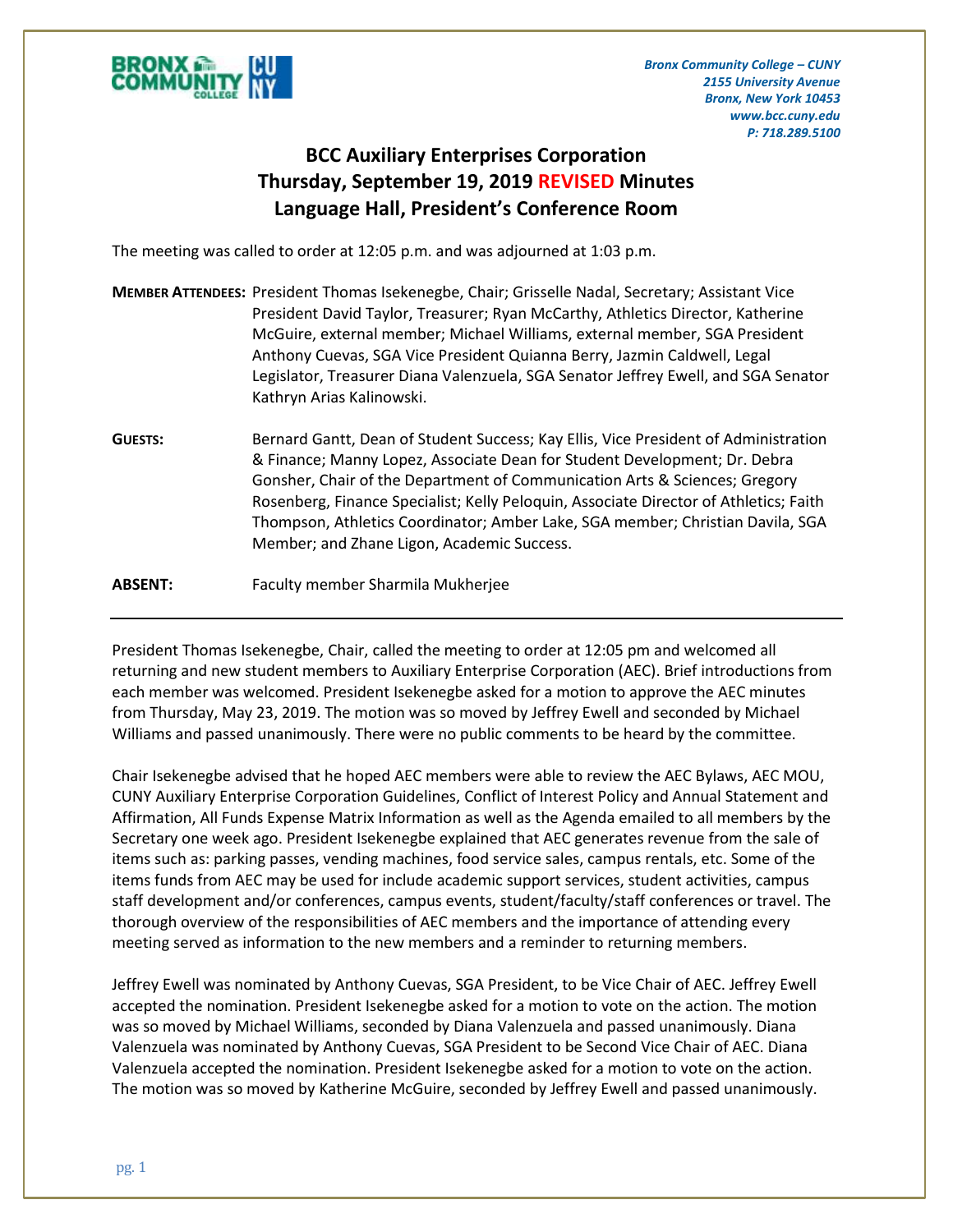

*Bronx Community College – CUNY 2155 University Avenue Bronx, New York 10453 www.bcc.cuny.edu P: 718.289.5100*

## **BCC Auxiliary Enterprises Corporation Thursday, September 19, 2019 REVISED Minutes Language Hall, President's Conference Room**

The meeting was called to order at 12:05 p.m. and was adjourned at 1:03 p.m.

|                | MEMBER ATTENDEES: President Thomas Isekenegbe, Chair; Grisselle Nadal, Secretary; Assistant Vice<br>President David Taylor, Treasurer; Ryan McCarthy, Athletics Director, Katherine<br>McGuire, external member; Michael Williams, external member, SGA President<br>Anthony Cuevas, SGA Vice President Quianna Berry, Jazmin Caldwell, Legal<br>Legislator, Treasurer Diana Valenzuela, SGA Senator Jeffrey Ewell, and SGA Senator<br>Kathryn Arias Kalinowski.        |
|----------------|-------------------------------------------------------------------------------------------------------------------------------------------------------------------------------------------------------------------------------------------------------------------------------------------------------------------------------------------------------------------------------------------------------------------------------------------------------------------------|
| <b>GUESTS:</b> | Bernard Gantt, Dean of Student Success; Kay Ellis, Vice President of Administration<br>& Finance; Manny Lopez, Associate Dean for Student Development; Dr. Debra<br>Gonsher, Chair of the Department of Communication Arts & Sciences; Gregory<br>Rosenberg, Finance Specialist; Kelly Peloquin, Associate Director of Athletics; Faith<br>Thompson, Athletics Coordinator; Amber Lake, SGA member; Christian Davila, SGA<br>Member; and Zhane Ligon, Academic Success. |
| <b>ABSENT:</b> | Faculty member Sharmila Mukherjee                                                                                                                                                                                                                                                                                                                                                                                                                                       |

President Thomas Isekenegbe, Chair, called the meeting to order at 12:05 pm and welcomed all returning and new student members to Auxiliary Enterprise Corporation (AEC). Brief introductions from each member was welcomed. President Isekenegbe asked for a motion to approve the AEC minutes from Thursday, May 23, 2019. The motion was so moved by Jeffrey Ewell and seconded by Michael Williams and passed unanimously. There were no public comments to be heard by the committee.

Chair Isekenegbe advised that he hoped AEC members were able to review the AEC Bylaws, AEC MOU, CUNY Auxiliary Enterprise Corporation Guidelines, Conflict of Interest Policy and Annual Statement and Affirmation, All Funds Expense Matrix Information as well as the Agenda emailed to all members by the Secretary one week ago. President Isekenegbe explained that AEC generates revenue from the sale of items such as: parking passes, vending machines, food service sales, campus rentals, etc. Some of the items funds from AEC may be used for include academic support services, student activities, campus staff development and/or conferences, campus events, student/faculty/staff conferences or travel. The thorough overview of the responsibilities of AEC members and the importance of attending every meeting served as information to the new members and a reminder to returning members.

Jeffrey Ewell was nominated by Anthony Cuevas, SGA President, to be Vice Chair of AEC. Jeffrey Ewell accepted the nomination. President Isekenegbe asked for a motion to vote on the action. The motion was so moved by Michael Williams, seconded by Diana Valenzuela and passed unanimously. Diana Valenzuela was nominated by Anthony Cuevas, SGA President to be Second Vice Chair of AEC. Diana Valenzuela accepted the nomination. President Isekenegbe asked for a motion to vote on the action. The motion was so moved by Katherine McGuire, seconded by Jeffrey Ewell and passed unanimously.